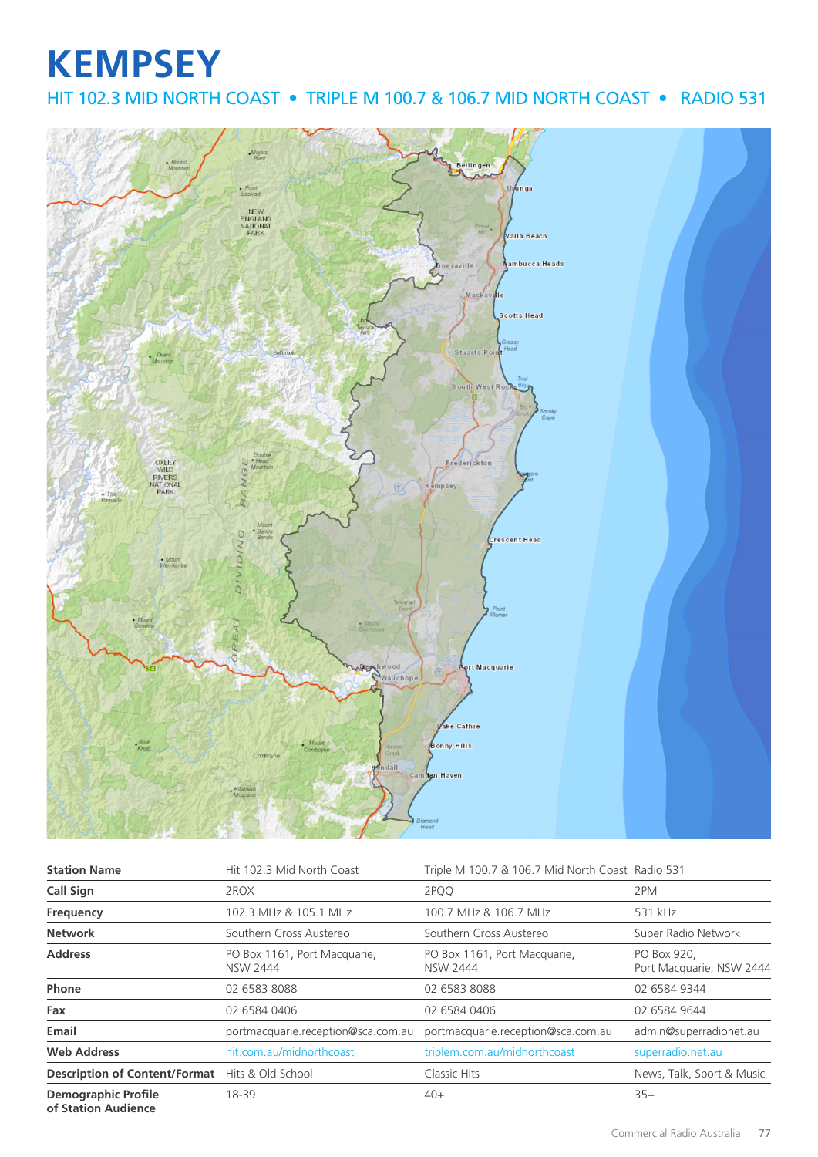## **KEMPSEY** HIT 102.3 MID NORTH COAST • TRIPLE M 100.7 & 106.7 MID NORTH COAST • RADIO 531



| <b>Station Name</b>                                    | Hit 102.3 Mid North Coast                       | Triple M 100.7 & 106.7 Mid North Coast Radio 531 |                                         |
|--------------------------------------------------------|-------------------------------------------------|--------------------------------------------------|-----------------------------------------|
| <b>Call Sign</b>                                       | 2ROX                                            | 2PQQ                                             | 2PM                                     |
| Frequency                                              | 102.3 MHz & 105.1 MHz                           | 100.7 MHz & 106.7 MHz                            | 531 kHz                                 |
| <b>Network</b>                                         | Southern Cross Austereo                         | Southern Cross Austereo                          | Super Radio Network                     |
| <b>Address</b>                                         | PO Box 1161, Port Macquarie,<br><b>NSW 2444</b> | PO Box 1161, Port Macquarie,<br><b>NSW 2444</b>  | PO Box 920,<br>Port Macquarie, NSW 2444 |
| Phone                                                  | 02 6583 8088                                    | 02 6583 8088                                     | 02 6584 9344                            |
| Fax                                                    | 02 6584 0406                                    | 02 6584 0406                                     | 02 6584 9644                            |
| Email                                                  | portmacquarie.reception@sca.com.au              | portmacquarie.reception@sca.com.au               | admin@superradionet.au                  |
| <b>Web Address</b>                                     | hit.com.au/midnorthcoast                        | triplem.com.au/midnorthcoast                     | superradio.net.au                       |
| <b>Description of Content/Format</b> Hits & Old School |                                                 | Classic Hits                                     | News, Talk, Sport & Music               |
| <b>Demographic Profile</b><br>of Station Audience      | 18-39                                           | $40+$                                            | $35+$                                   |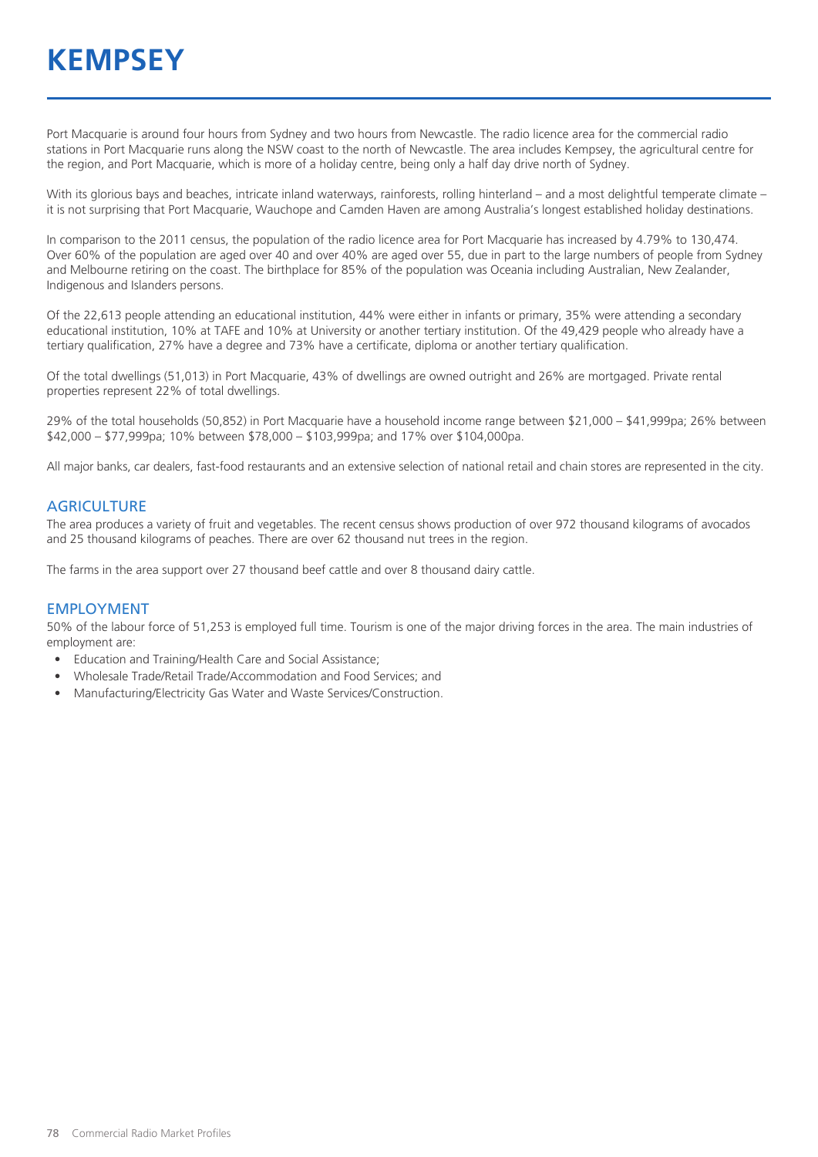Port Macquarie is around four hours from Sydney and two hours from Newcastle. The radio licence area for the commercial radio stations in Port Macquarie runs along the NSW coast to the north of Newcastle. The area includes Kempsey, the agricultural centre for the region, and Port Macquarie, which is more of a holiday centre, being only a half day drive north of Sydney.

With its glorious bays and beaches, intricate inland waterways, rainforests, rolling hinterland – and a most delightful temperate climate – it is not surprising that Port Macquarie, Wauchope and Camden Haven are among Australia's longest established holiday destinations.

In comparison to the 2011 census, the population of the radio licence area for Port Macquarie has increased by 4.79% to 130,474. Over 60% of the population are aged over 40 and over 40% are aged over 55, due in part to the large numbers of people from Sydney and Melbourne retiring on the coast. The birthplace for 85% of the population was Oceania including Australian, New Zealander, Indigenous and Islanders persons.

Of the 22,613 people attending an educational institution, 44% were either in infants or primary, 35% were attending a secondary educational institution, 10% at TAFE and 10% at University or another tertiary institution. Of the 49,429 people who already have a tertiary qualification, 27% have a degree and 73% have a certificate, diploma or another tertiary qualification.

Of the total dwellings (51,013) in Port Macquarie, 43% of dwellings are owned outright and 26% are mortgaged. Private rental properties represent 22% of total dwellings.

29% of the total households (50,852) in Port Macquarie have a household income range between \$21,000 – \$41,999pa; 26% between \$42,000 – \$77,999pa; 10% between \$78,000 – \$103,999pa; and 17% over \$104,000pa.

All major banks, car dealers, fast-food restaurants and an extensive selection of national retail and chain stores are represented in the city.

#### **AGRICULTURE**

The area produces a variety of fruit and vegetables. The recent census shows production of over 972 thousand kilograms of avocados and 25 thousand kilograms of peaches. There are over 62 thousand nut trees in the region.

The farms in the area support over 27 thousand beef cattle and over 8 thousand dairy cattle.

#### EMPLOYMENT

50% of the labour force of 51,253 is employed full time. Tourism is one of the major driving forces in the area. The main industries of employment are:

- Education and Training/Health Care and Social Assistance;
- Wholesale Trade/Retail Trade/Accommodation and Food Services; and
- Manufacturing/Electricity Gas Water and Waste Services/Construction.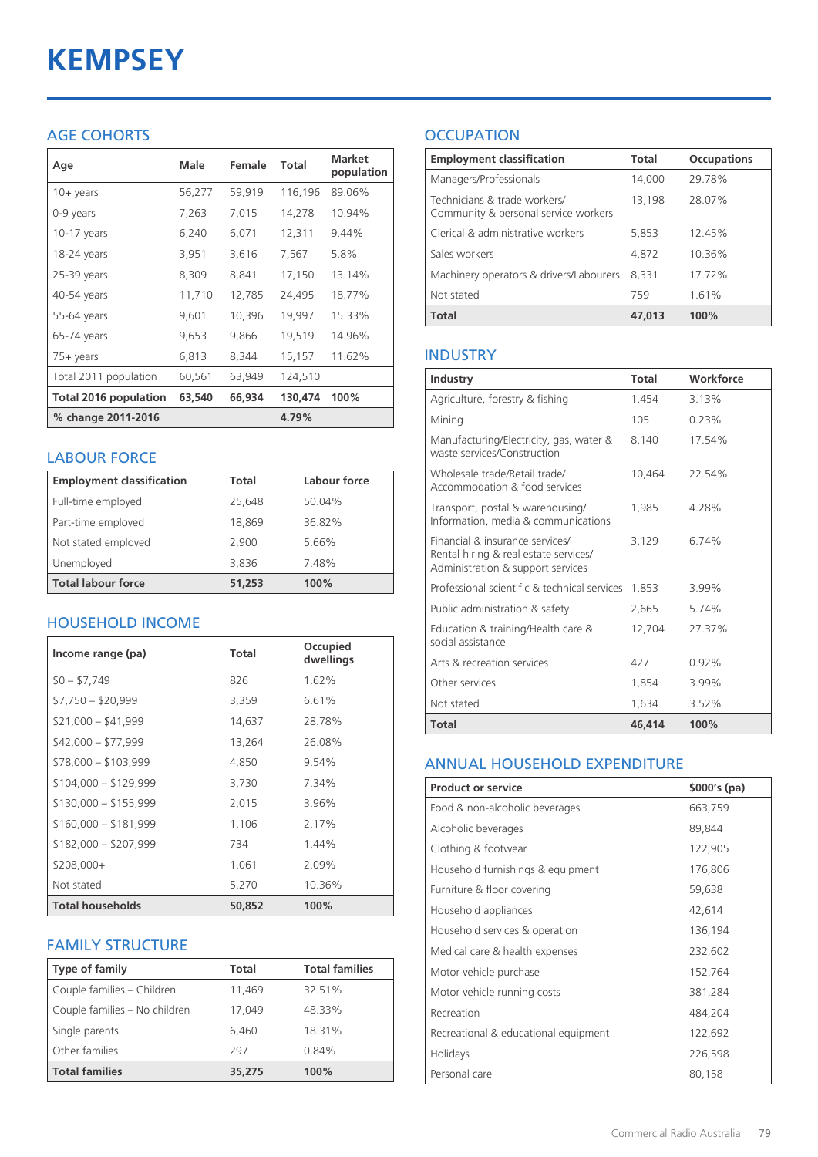# **KEMPSEY**

## AGE COHORTS

| Age                          | Male   | Female | Total   | <b>Market</b><br>population |
|------------------------------|--------|--------|---------|-----------------------------|
| $10 + \gamma$ ears           | 56,277 | 59,919 | 116,196 | 89.06%                      |
| 0-9 years                    | 7,263  | 7,015  | 14,278  | 10.94%                      |
| $10-17$ years                | 6,240  | 6,071  | 12,311  | 9.44%                       |
| 18-24 years                  | 3,951  | 3,616  | 7,567   | 5.8%                        |
| 25-39 years                  | 8,309  | 8,841  | 17,150  | 13.14%                      |
| 40-54 years                  | 11,710 | 12,785 | 24,495  | 18.77%                      |
| 55-64 years                  | 9,601  | 10,396 | 19,997  | 15.33%                      |
| 65-74 years                  | 9,653  | 9,866  | 19,519  | 14.96%                      |
| $75+$ years                  | 6,813  | 8,344  | 15,157  | 11.62%                      |
| Total 2011 population        | 60,561 | 63,949 | 124,510 |                             |
| <b>Total 2016 population</b> | 63,540 | 66,934 | 130,474 | 100%                        |
| % change 2011-2016           |        |        | 4.79%   |                             |

## LABOUR FORCE

| <b>Employment classification</b> | Total  | Labour force |
|----------------------------------|--------|--------------|
| Full-time employed               | 25.648 | 50.04%       |
| Part-time employed               | 18,869 | 36.82%       |
| Not stated employed              | 2,900  | 5.66%        |
| Unemployed                       | 3,836  | 7.48%        |
| <b>Total labour force</b>        | 51,253 | 100%         |

## HOUSEHOLD INCOME

| Income range (pa)       | Total  | Occupied<br>dwellings |
|-------------------------|--------|-----------------------|
| $$0 - $7,749$           | 826    | 1.62%                 |
| $$7,750 - $20,999$      | 3,359  | 6.61%                 |
| $$21,000 - $41,999$     | 14,637 | 28.78%                |
| $$42,000 - $77,999$     | 13,264 | 26.08%                |
| $$78,000 - $103,999$    | 4,850  | 9.54%                 |
| $$104,000 - $129,999$   | 3,730  | 7.34%                 |
| $$130,000 - $155,999$   | 2,015  | 3.96%                 |
| $$160,000 - $181,999$   | 1,106  | 2.17%                 |
| $$182,000 - $207,999$   | 734    | 1.44%                 |
| $$208,000+$             | 1,061  | 2.09%                 |
| Not stated              | 5,270  | 10.36%                |
| <b>Total households</b> | 50,852 | 100%                  |

#### FAMILY STRUCTURE

| <b>Type of family</b>         | <b>Total</b> | <b>Total families</b> |
|-------------------------------|--------------|-----------------------|
| Couple families - Children    | 11,469       | 32.51%                |
| Couple families - No children | 17.049       | 48.33%                |
| Single parents                | 6.460        | 18.31%                |
| Other families                | 297          | 0.84%                 |
| <b>Total families</b>         | 35,275       | 100%                  |

## **OCCUPATION**

| <b>Employment classification</b>                                     | <b>Total</b> | <b>Occupations</b> |
|----------------------------------------------------------------------|--------------|--------------------|
| Managers/Professionals                                               | 14,000       | 29.78%             |
| Technicians & trade workers/<br>Community & personal service workers | 13,198       | 28.07%             |
| Clerical & administrative workers                                    | 5,853        | 12.45%             |
| Sales workers                                                        | 4,872        | 10.36%             |
| Machinery operators & drivers/Labourers                              | 8.331        | 17.72%             |
| Not stated                                                           | 759          | 1.61%              |
| <b>Total</b>                                                         | 47,013       | 100%               |

## INDUSTRY

| Industry                                                                                                      | Total  | Workforce |
|---------------------------------------------------------------------------------------------------------------|--------|-----------|
| Agriculture, forestry & fishing                                                                               | 1,454  | 3.13%     |
| Mining                                                                                                        | 105    | 0.23%     |
| Manufacturing/Electricity, gas, water &<br>waste services/Construction                                        | 8,140  | 17.54%    |
| Wholesale trade/Retail trade/<br>Accommodation & food services                                                | 10,464 | 22.54%    |
| Transport, postal & warehousing/<br>Information, media & communications                                       | 1,985  | 4.28%     |
| Financial & insurance services/<br>Rental hiring & real estate services/<br>Administration & support services | 3.129  | 6.74%     |
| Professional scientific & technical services                                                                  | 1,853  | 3.99%     |
| Public administration & safety                                                                                | 2,665  | 5.74%     |
| Education & training/Health care &<br>social assistance                                                       | 12,704 | 27.37%    |
| Arts & recreation services                                                                                    | 427    | 0.92%     |
| Other services                                                                                                | 1,854  | 3.99%     |
| Not stated                                                                                                    | 1.634  | 3.52%     |
| Total                                                                                                         | 46,414 | 100%      |

#### ANNUAL HOUSEHOLD EXPENDITURE

| <b>Product or service</b>            | $$000's$ (pa) |
|--------------------------------------|---------------|
| Food & non-alcoholic beverages       | 663,759       |
| Alcoholic beverages                  | 89,844        |
| Clothing & footwear                  | 122,905       |
| Household furnishings & equipment    | 176,806       |
| Furniture & floor covering           | 59,638        |
| Household appliances                 | 42,614        |
| Household services & operation       | 136,194       |
| Medical care & health expenses       | 232,602       |
| Motor vehicle purchase               | 152,764       |
| Motor vehicle running costs          | 381,284       |
| Recreation                           | 484,204       |
| Recreational & educational equipment | 122,692       |
| Holidays                             | 226,598       |
| Personal care                        | 80,158        |